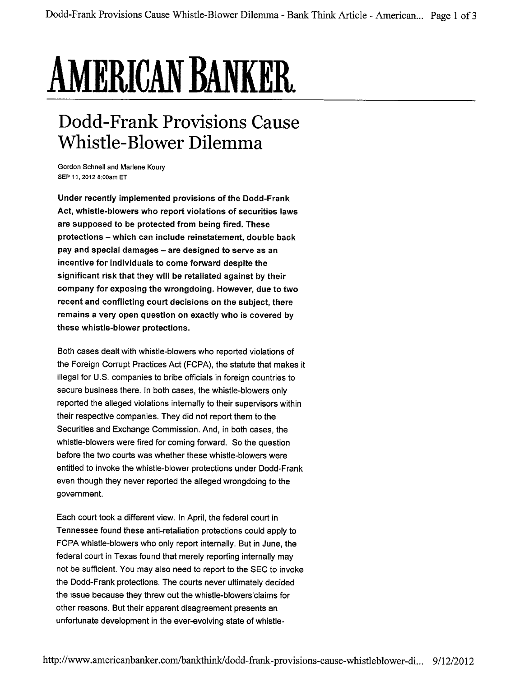## AMERICAN BANKER.

## Dodd-Frank Provisions Cause Whistle- Blower Dilemma

Gordon Schnell and Marlene Koury SEP 11, 2012 8:00am ET

Under recently implemented provisions of the Dodd-Frank Act, whistle-blowers who report violations of securities laws are supposed to be protected from being fired. These protections - which can include reinstatement, double back pay and special damages - are designed to serve as an incentive for individuals to come forward despite the significant risk that they will be retaliated against by their company for exposing the wrongdoing. However, due to two recent and conflicting court decisions on the subject, there remains a very open question on exactly who is covered by these whistle-blower protections.

Both cases dealt with whistle-blowers who reported violations of the Foreign Corrupt Practices Act (FCPA), the statute that makes it illegal for U.S. companies to bribe officials in foreign countries to secure business there. In both cases, the whistle-blowers only reported the alleged violations internally to their supervisors within their respective companies. They did not report them to the Securities and Exchange Commission. And, in both cases, the whistle-blowers were fired for coming forward. So the question before the two courts was whether these whistle-blowers were entitled to invoke the whistle-blower protections under Dodd-Frank even though they never reported the alleged wrongdoing to the government.

Each court took a different view. In April, the federal court in Tennessee found these anti-retaliation protections could apply to FCPA whistle-blowers who only report internally. But in June, the federal court in Texas found that merely reporting internally may not be sufficient. You may also need to report to the SEC to invoke the Dodd-Frank protections. The courts never ultimately decided the issue because they threw out the whistle-blowers'claims for other reasons. But their apparent disagreement presents an unfortunate development in the ever-evolving state of whistle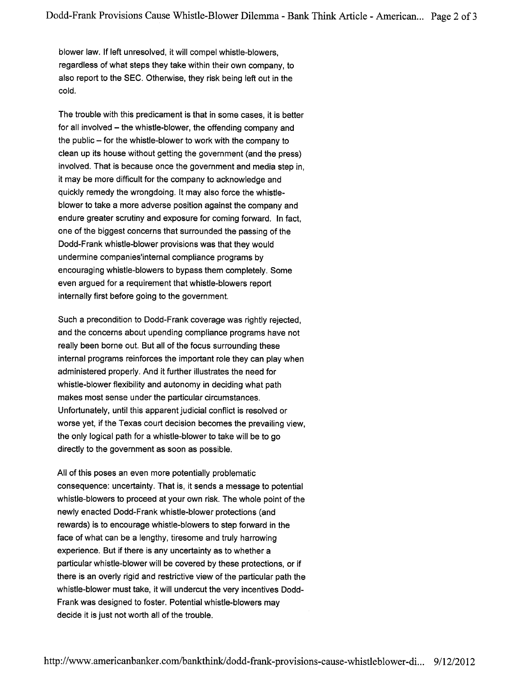blower law. If left unresolved, it will compel whistle-blowers, regardless of what steps they take within their own company, to also report to the SEC. Otherwise, they risk being left out in the cold.

The trouble with this predicament is that in some cases, it is better for all involved - the whistle-blower, the offending company and the public - for the whistle-blower to work with the company to clean up its house without getting the government (and the press) involved. That is because once the government and media step in, it may be more difficult for the company to acknowledge and quickly remedy the wrongdoing. It may also force the whistleblower to take a more adverse position against the company and endure greater scrutiny and exposure for coming forward. In fact, one of the biggest concerns that surrounded the passing of the Dodd-Frank whistle-blower provisions was that they would undermine companies'internal compliance programs by encouraging whistle-blowers to bypass them completely. Some even argued for a requirement that whistle-blowers report internally first before going to the government.

Such a precondition to Dodd-Frank coverage was rightly rejected, and the concerns about upending compliance programs have not really been borne out. But all of the focus surrounding these internal programs reinforces the important role they can play when administered properly. And it further illustrates the need for whistle-blower flexibility and autonomy in deciding what path makes most sense under the particular circumstances. Unfortunately, until this apparent judicial conflict is resolved or worse yet, if the Texas court decision becomes the prevailing view, the only logical path for a whistle-blower to take wil be to go directly to the government as soon as possible.

All of this poses an even more potentially problematic consequence: uncertainty. That is, it sends a message to potential whistle-blowers to proceed at your own risk. The whole point of the newly enacted Dodd-Frank whistle-blower protections (and rewards) is to encourage whistle-blowers to step forward in the face of what can be a lengthy, tiresome and truly harrowing experience. But if there is any uncertainty as to whether a particular whistle-blower will be covered by these protections, or if there is an overly rigid and restrictive view of the particular path the whistle-blower must take, it will undercut the very incentives Dodd-Frank was designed to foster. Potential whistle-blowers may decide it is just not worth all of the trouble.